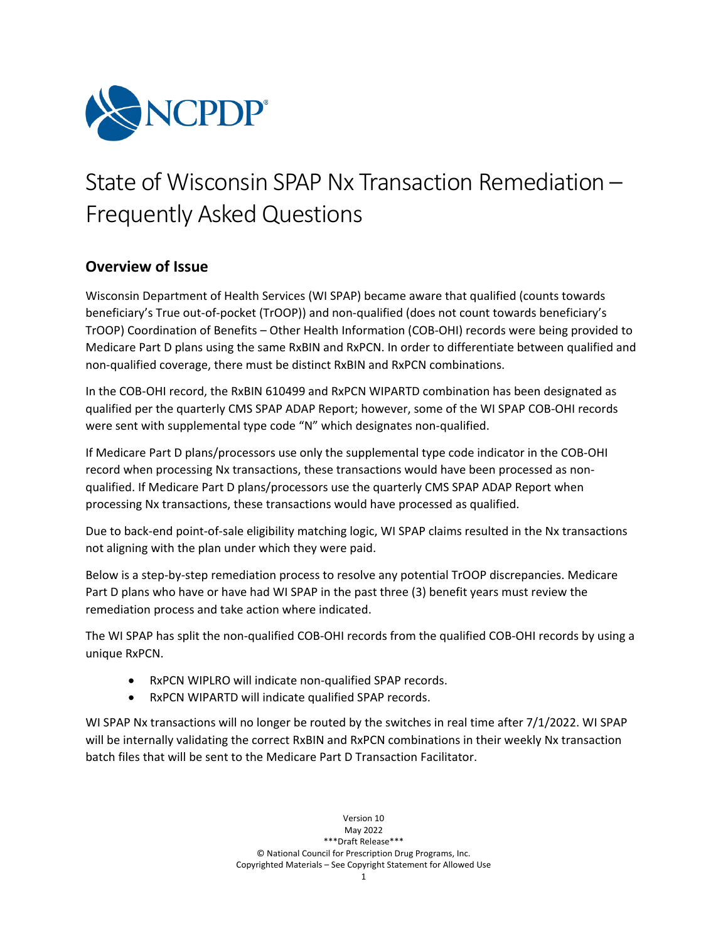

# State of Wisconsin SPAP Nx Transaction Remediation – Frequently Asked Questions

# **Overview of Issue**

Wisconsin Department of Health Services (WI SPAP) became aware that qualified (counts towards beneficiary's True out-of-pocket (TrOOP)) and non-qualified (does not count towards beneficiary's TrOOP) Coordination of Benefits – Other Health Information (COB-OHI) records were being provided to Medicare Part D plans using the same RxBIN and RxPCN. In order to differentiate between qualified and non-qualified coverage, there must be distinct RxBIN and RxPCN combinations.

In the COB-OHI record, the RxBIN 610499 and RxPCN WIPARTD combination has been designated as qualified per the quarterly CMS SPAP ADAP Report; however, some of the WI SPAP COB-OHI records were sent with supplemental type code "N" which designates non-qualified.

If Medicare Part D plans/processors use only the supplemental type code indicator in the COB-OHI record when processing Nx transactions, these transactions would have been processed as nonqualified. If Medicare Part D plans/processors use the quarterly CMS SPAP ADAP Report when processing Nx transactions, these transactions would have processed as qualified.

Due to back-end point-of-sale eligibility matching logic, WI SPAP claims resulted in the Nx transactions not aligning with the plan under which they were paid.

Below is a step-by-step remediation process to resolve any potential TrOOP discrepancies. Medicare Part D plans who have or have had WI SPAP in the past three (3) benefit years must review the remediation process and take action where indicated.

The WI SPAP has split the non-qualified COB-OHI records from the qualified COB-OHI records by using a unique RxPCN.

- RxPCN WIPLRO will indicate non-qualified SPAP records.
- RxPCN WIPARTD will indicate qualified SPAP records.

WI SPAP Nx transactions will no longer be routed by the switches in real time after 7/1/2022. WI SPAP will be internally validating the correct RxBIN and RxPCN combinations in their weekly Nx transaction batch files that will be sent to the Medicare Part D Transaction Facilitator.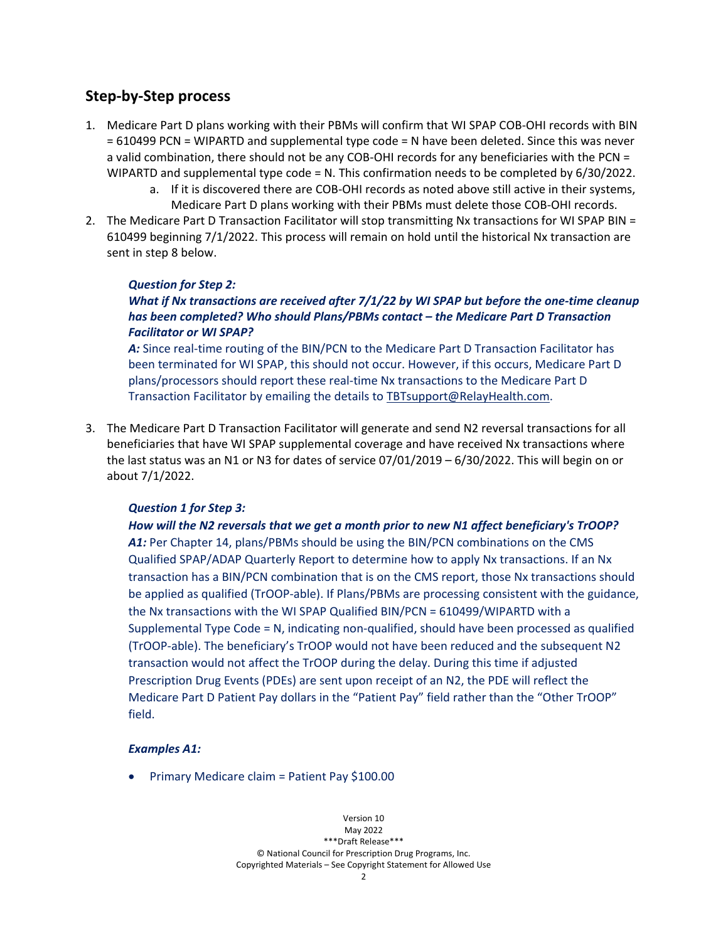## **Step-by-Step process**

- 1. Medicare Part D plans working with their PBMs will confirm that WI SPAP COB-OHI records with BIN = 610499 PCN = WIPARTD and supplemental type code = N have been deleted. Since this was never a valid combination, there should not be any COB-OHI records for any beneficiaries with the PCN = WIPARTD and supplemental type code = N. This confirmation needs to be completed by 6/30/2022.
	- a. If it is discovered there are COB-OHI records as noted above still active in their systems, Medicare Part D plans working with their PBMs must delete those COB-OHI records.
- 2. The Medicare Part D Transaction Facilitator will stop transmitting Nx transactions for WI SPAP BIN = 610499 beginning 7/1/2022. This process will remain on hold until the historical Nx transaction are sent in step 8 below.

## *Question for Step 2:*

## *What if Nx transactions are received after 7/1/22 by WI SPAP but before the one-time cleanup has been completed? Who should Plans/PBMs contact – the Medicare Part D Transaction Facilitator or WI SPAP?*

A: Since real-time routing of the BIN/PCN to the Medicare Part D Transaction Facilitator has been terminated for WI SPAP, this should not occur. However, if this occurs, Medicare Part D plans/processors should report these real-time Nx transactions to the Medicare Part D Transaction Facilitator by emailing the details to [TBTsupport@RelayHealth.com.](mailto:TBTsupport@RelayHealth.com)

3. The Medicare Part D Transaction Facilitator will generate and send N2 reversal transactions for all beneficiaries that have WI SPAP supplemental coverage and have received Nx transactions where the last status was an N1 or N3 for dates of service 07/01/2019 – 6/30/2022. This will begin on or about 7/1/2022.

## *Question 1 for Step 3:*

*How will the N2 reversals that we get a month prior to new N1 affect beneficiary's TrOOP? A1:* Per Chapter 14, plans/PBMs should be using the BIN/PCN combinations on the CMS Qualified SPAP/ADAP Quarterly Report to determine how to apply Nx transactions. If an Nx transaction has a BIN/PCN combination that is on the CMS report, those Nx transactions should be applied as qualified (TrOOP-able). If Plans/PBMs are processing consistent with the guidance, the Nx transactions with the WI SPAP Qualified BIN/PCN = 610499/WIPARTD with a Supplemental Type Code = N, indicating non-qualified, should have been processed as qualified (TrOOP-able). The beneficiary's TrOOP would not have been reduced and the subsequent N2 transaction would not affect the TrOOP during the delay. During this time if adjusted Prescription Drug Events (PDEs) are sent upon receipt of an N2, the PDE will reflect the Medicare Part D Patient Pay dollars in the "Patient Pay" field rather than the "Other TrOOP" field.

### *Examples A1:*

• Primary Medicare claim = Patient Pay \$100.00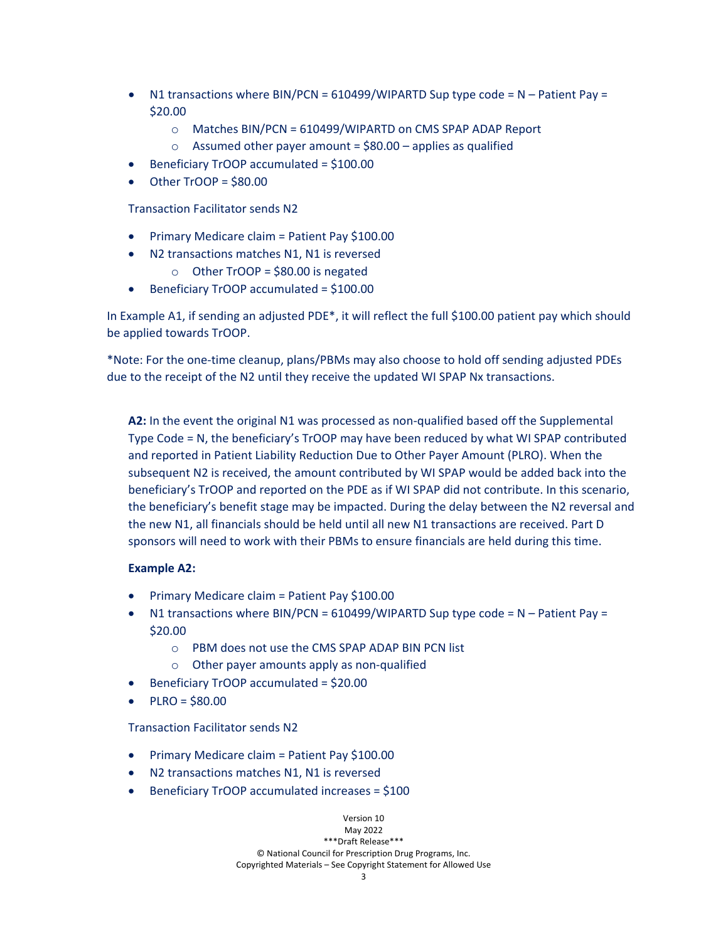- N1 transactions where BIN/PCN =  $610499$ /WIPARTD Sup type code = N Patient Pay = \$20.00
	- o Matches BIN/PCN = 610499/WIPARTD on CMS SPAP ADAP Report
	- $\circ$  Assumed other payer amount = \$80.00 applies as qualified
- Beneficiary TrOOP accumulated = \$100.00
- Other TrOOP = \$80.00

Transaction Facilitator sends N2

- Primary Medicare claim = Patient Pay \$100.00
- N2 transactions matches N1, N1 is reversed
	- $\circ$  Other TrOOP = \$80.00 is negated
- Beneficiary TrOOP accumulated = \$100.00

In Example A1, if sending an adjusted PDE\*, it will reflect the full \$100.00 patient pay which should be applied towards TrOOP.

\*Note: For the one-time cleanup, plans/PBMs may also choose to hold off sending adjusted PDEs due to the receipt of the N2 until they receive the updated WI SPAP Nx transactions.

**A2:** In the event the original N1 was processed as non-qualified based off the Supplemental Type Code = N, the beneficiary's TrOOP may have been reduced by what WI SPAP contributed and reported in Patient Liability Reduction Due to Other Payer Amount (PLRO). When the subsequent N2 is received, the amount contributed by WI SPAP would be added back into the beneficiary's TrOOP and reported on the PDE as if WI SPAP did not contribute. In this scenario, the beneficiary's benefit stage may be impacted. During the delay between the N2 reversal and the new N1, all financials should be held until all new N1 transactions are received. Part D sponsors will need to work with their PBMs to ensure financials are held during this time.

### **Example A2:**

- Primary Medicare claim = Patient Pay \$100.00
- N1 transactions where BIN/PCN =  $610499/$ WIPARTD Sup type code = N Patient Pay = \$20.00
	- o PBM does not use the CMS SPAP ADAP BIN PCN list
	- o Other payer amounts apply as non-qualified
- Beneficiary TrOOP accumulated = \$20.00
- $P LRO = $80.00$

Transaction Facilitator sends N2

- Primary Medicare claim = Patient Pay \$100.00
- N2 transactions matches N1, N1 is reversed
- Beneficiary TrOOP accumulated increases = \$100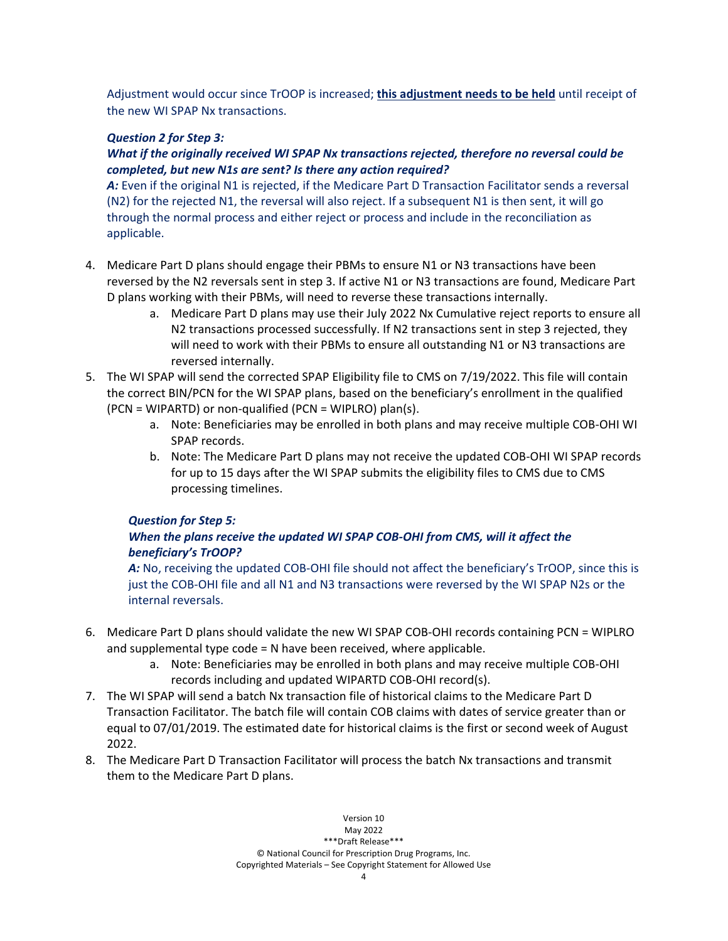Adjustment would occur since TrOOP is increased; **this adjustment needs to be held** until receipt of the new WI SPAP Nx transactions.

## *Question 2 for Step 3:*

## *What if the originally received WI SPAP Nx transactions rejected, therefore no reversal could be completed, but new N1s are sent? Is there any action required?*

*A:* Even if the original N1 is rejected, if the Medicare Part D Transaction Facilitator sends a reversal (N2) for the rejected N1, the reversal will also reject. If a subsequent N1 is then sent, it will go through the normal process and either reject or process and include in the reconciliation as applicable.

- 4. Medicare Part D plans should engage their PBMs to ensure N1 or N3 transactions have been reversed by the N2 reversals sent in step 3. If active N1 or N3 transactions are found, Medicare Part D plans working with their PBMs, will need to reverse these transactions internally.
	- a. Medicare Part D plans may use their July 2022 Nx Cumulative reject reports to ensure all N2 transactions processed successfully. If N2 transactions sent in step 3 rejected, they will need to work with their PBMs to ensure all outstanding N1 or N3 transactions are reversed internally.
- 5. The WI SPAP will send the corrected SPAP Eligibility file to CMS on 7/19/2022. This file will contain the correct BIN/PCN for the WI SPAP plans, based on the beneficiary's enrollment in the qualified (PCN = WIPARTD) or non-qualified (PCN = WIPLRO) plan(s).
	- a. Note: Beneficiaries may be enrolled in both plans and may receive multiple COB-OHI WI SPAP records.
	- b. Note: The Medicare Part D plans may not receive the updated COB-OHI WI SPAP records for up to 15 days after the WI SPAP submits the eligibility files to CMS due to CMS processing timelines.

## *Question for Step 5:*

## *When the plans receive the updated WI SPAP COB-OHI from CMS, will it affect the beneficiary's TrOOP?*

A: No, receiving the updated COB-OHI file should not affect the beneficiary's TrOOP, since this is just the COB-OHI file and all N1 and N3 transactions were reversed by the WI SPAP N2s or the internal reversals.

- 6. Medicare Part D plans should validate the new WI SPAP COB-OHI records containing PCN = WIPLRO and supplemental type code = N have been received, where applicable.
	- a. Note: Beneficiaries may be enrolled in both plans and may receive multiple COB-OHI records including and updated WIPARTD COB-OHI record(s).
- 7. The WI SPAP will send a batch Nx transaction file of historical claims to the Medicare Part D Transaction Facilitator. The batch file will contain COB claims with dates of service greater than or equal to 07/01/2019. The estimated date for historical claims is the first or second week of August 2022.
- 8. The Medicare Part D Transaction Facilitator will process the batch Nx transactions and transmit them to the Medicare Part D plans.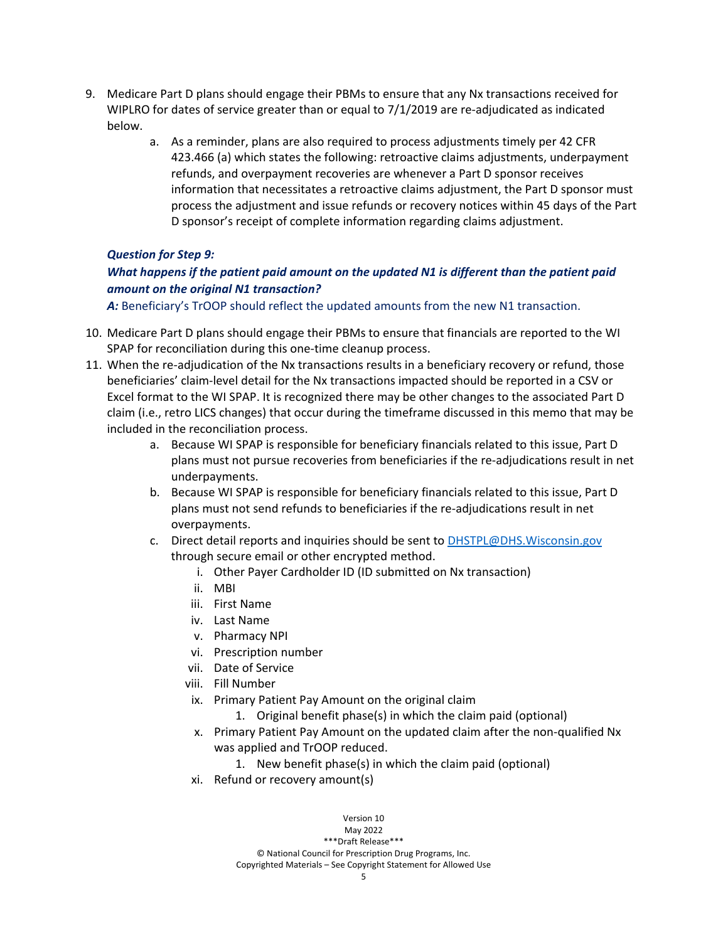- 9. Medicare Part D plans should engage their PBMs to ensure that any Nx transactions received for WIPLRO for dates of service greater than or equal to 7/1/2019 are re-adjudicated as indicated below.
	- a. As a reminder, plans are also required to process adjustments timely per 42 CFR 423.466 (a) which states the following: retroactive claims adjustments, underpayment refunds, and overpayment recoveries are whenever a Part D sponsor receives information that necessitates a retroactive claims adjustment, the Part D sponsor must process the adjustment and issue refunds or recovery notices within 45 days of the Part D sponsor's receipt of complete information regarding claims adjustment.

## *Question for Step 9:*

## *What happens if the patient paid amount on the updated N1 is different than the patient paid amount on the original N1 transaction?*

A: Beneficiary's TrOOP should reflect the updated amounts from the new N1 transaction.

- 10. Medicare Part D plans should engage their PBMs to ensure that financials are reported to the WI SPAP for reconciliation during this one-time cleanup process.
- 11. When the re-adjudication of the Nx transactions results in a beneficiary recovery or refund, those beneficiaries' claim-level detail for the Nx transactions impacted should be reported in a CSV or Excel format to the WI SPAP. It is recognized there may be other changes to the associated Part D claim (i.e., retro LICS changes) that occur during the timeframe discussed in this memo that may be included in the reconciliation process.
	- a. Because WI SPAP is responsible for beneficiary financials related to this issue, Part D plans must not pursue recoveries from beneficiaries if the re-adjudications result in net underpayments.
	- b. Because WI SPAP is responsible for beneficiary financials related to this issue, Part D plans must not send refunds to beneficiaries if the re-adjudications result in net overpayments.
	- c. Direct detail reports and inquiries should be sent t[o DHSTPL@DHS.Wisconsin.gov](mailto:DHSTPL@DHS.Wisconsin.gov) through secure email or other encrypted method.
		- i. Other Payer Cardholder ID (ID submitted on Nx transaction)
		- ii. MBI
		- iii. First Name
		- iv. Last Name
		- v. Pharmacy NPI
		- vi. Prescription number
		- vii. Date of Service
		- viii. Fill Number
		- ix. Primary Patient Pay Amount on the original claim
			- 1. Original benefit phase(s) in which the claim paid (optional)
		- x. Primary Patient Pay Amount on the updated claim after the non-qualified Nx was applied and TrOOP reduced.
			- 1. New benefit phase(s) in which the claim paid (optional)
		- xi. Refund or recovery amount(s)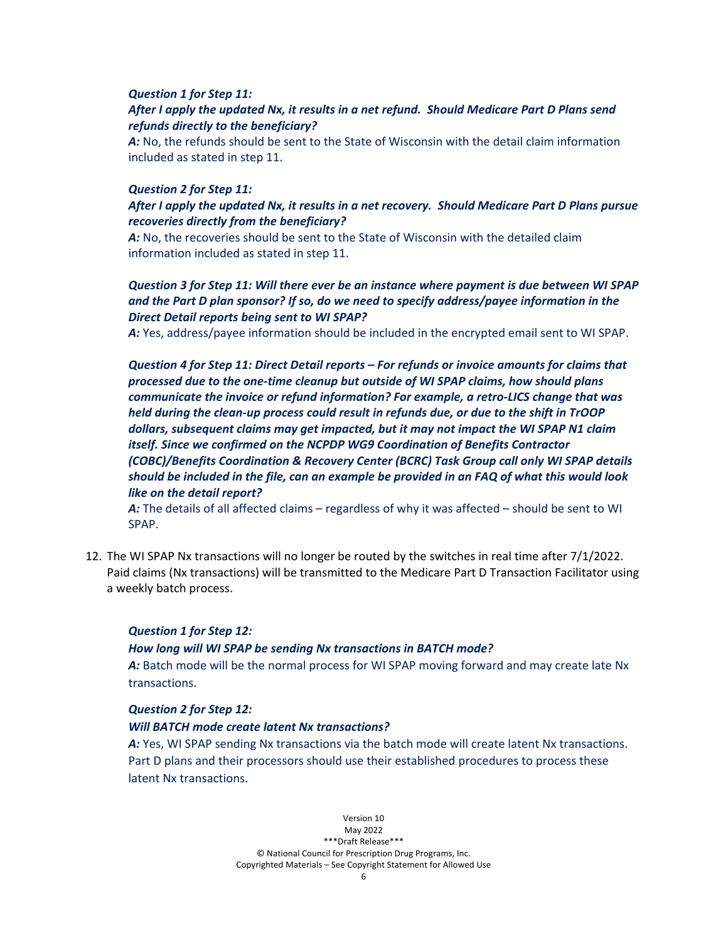#### *Question 1 for Step 11:*

## *After I apply the updated Nx, it results in a net refund. Should Medicare Part D Plans send refunds directly to the beneficiary?*

*A:* No, the refunds should be sent to the State of Wisconsin with the detail claim information included as stated in step 11.

#### *Question 2 for Step 11:*

## *After I apply the updated Nx, it results in a net recovery. Should Medicare Part D Plans pursue recoveries directly from the beneficiary?*

A: No, the recoveries should be sent to the State of Wisconsin with the detailed claim information included as stated in step 11.

## *Question 3 for Step 11: Will there ever be an instance where payment is due between WI SPAP and the Part D plan sponsor? If so, do we need to specify address/payee information in the Direct Detail reports being sent to WI SPAP?*

*A:* Yes, address/payee information should be included in the encrypted email sent to WI SPAP.

*Question 4 for Step 11: Direct Detail reports – For refunds or invoice amounts for claims that processed due to the one-time cleanup but outside of WI SPAP claims, how should plans communicate the invoice or refund information? For example, a retro-LICS change that was held during the clean-up process could result in refunds due, or due to the shift in TrOOP dollars, subsequent claims may get impacted, but it may not impact the WI SPAP N1 claim itself. Since we confirmed on the NCPDP WG9 Coordination of Benefits Contractor (COBC)/Benefits Coordination & Recovery Center (BCRC) Task Group call only WI SPAP details should be included in the file, can an example be provided in an FAQ of what this would look like on the detail report?*

*A:* The details of all affected claims – regardless of why it was affected – should be sent to WI SPAP.

12. The WI SPAP Nx transactions will no longer be routed by the switches in real time after 7/1/2022. Paid claims (Nx transactions) will be transmitted to the Medicare Part D Transaction Facilitator using a weekly batch process.

#### *Question 1 for Step 12:*

#### *How long will WI SPAP be sending Nx transactions in BATCH mode?*

*A:* Batch mode will be the normal process for WI SPAP moving forward and may create late Nx transactions.

#### *Question 2 for Step 12:*

#### *Will BATCH mode create latent Nx transactions?*

A: Yes, WI SPAP sending Nx transactions via the batch mode will create latent Nx transactions. Part D plans and their processors should use their established procedures to process these latent Nx transactions.